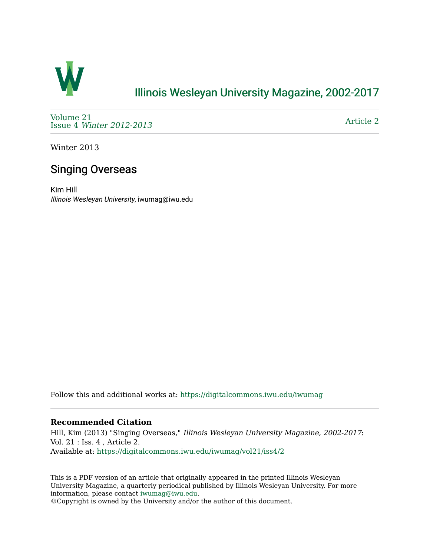

## [Illinois Wesleyan University Magazine, 2002-2017](https://digitalcommons.iwu.edu/iwumag)

[Volume 21](https://digitalcommons.iwu.edu/iwumag/vol21)  Issue 4 [Winter 2012-2013](https://digitalcommons.iwu.edu/iwumag/vol21/iss4)

[Article 2](https://digitalcommons.iwu.edu/iwumag/vol21/iss4/2) 

Winter 2013

# Singing Overseas

Kim Hill Illinois Wesleyan University, iwumag@iwu.edu

Follow this and additional works at: [https://digitalcommons.iwu.edu/iwumag](https://digitalcommons.iwu.edu/iwumag?utm_source=digitalcommons.iwu.edu%2Fiwumag%2Fvol21%2Fiss4%2F2&utm_medium=PDF&utm_campaign=PDFCoverPages) 

### **Recommended Citation**

Hill, Kim (2013) "Singing Overseas," Illinois Wesleyan University Magazine, 2002-2017: Vol. 21 : Iss. 4 , Article 2. Available at: [https://digitalcommons.iwu.edu/iwumag/vol21/iss4/2](https://digitalcommons.iwu.edu/iwumag/vol21/iss4/2?utm_source=digitalcommons.iwu.edu%2Fiwumag%2Fvol21%2Fiss4%2F2&utm_medium=PDF&utm_campaign=PDFCoverPages)

This is a PDF version of an article that originally appeared in the printed Illinois Wesleyan University Magazine, a quarterly periodical published by Illinois Wesleyan University. For more information, please contact [iwumag@iwu.edu](mailto:iwumag@iwu.edu).

©Copyright is owned by the University and/or the author of this document.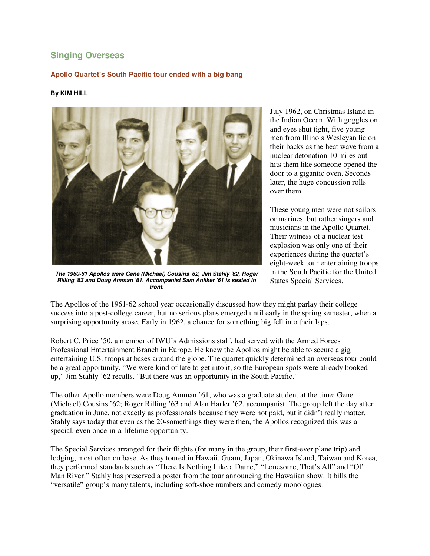## **Singing Overseas**

### **Apollo Quartet's South Pacific tour ended with a big bang**

#### **By KIM HILL**



**The 1960-61 Apollos were Gene (Michael) Cousins '62, Jim Stahly '62, Roger Rilling '63 and Doug Amman '61. Accompanist Sam Anliker '61 is seated in front.**

July 1962, on Christmas Island in the Indian Ocean. With goggles on and eyes shut tight, five young men from Illinois Wesleyan lie on their backs as the heat wave from a nuclear detonation 10 miles out hits them like someone opened the door to a gigantic oven. Seconds later, the huge concussion rolls over them.

These young men were not sailors or marines, but rather singers and musicians in the Apollo Quartet. Their witness of a nuclear test explosion was only one of their experiences during the quartet's eight-week tour entertaining troops in the South Pacific for the United States Special Services.

The Apollos of the 1961-62 school year occasionally discussed how they might parlay their college success into a post-college career, but no serious plans emerged until early in the spring semester, when a surprising opportunity arose. Early in 1962, a chance for something big fell into their laps.

Robert C. Price '50, a member of IWU's Admissions staff, had served with the Armed Forces Professional Entertainment Branch in Europe. He knew the Apollos might be able to secure a gig entertaining U.S. troops at bases around the globe. The quartet quickly determined an overseas tour could be a great opportunity. "We were kind of late to get into it, so the European spots were already booked up," Jim Stahly '62 recalls. "But there was an opportunity in the South Pacific."

The other Apollo members were Doug Amman '61, who was a graduate student at the time; Gene (Michael) Cousins '62; Roger Rilling '63 and Alan Harler '62, accompanist. The group left the day after graduation in June, not exactly as professionals because they were not paid, but it didn't really matter. Stahly says today that even as the 20-somethings they were then, the Apollos recognized this was a special, even once-in-a-lifetime opportunity.

The Special Services arranged for their flights (for many in the group, their first-ever plane trip) and lodging, most often on base. As they toured in Hawaii, Guam, Japan, Okinawa Island, Taiwan and Korea, they performed standards such as "There Is Nothing Like a Dame," "Lonesome, That's All" and "Ol' Man River." Stahly has preserved a poster from the tour announcing the Hawaiian show. It bills the "versatile" group's many talents, including soft-shoe numbers and comedy monologues.